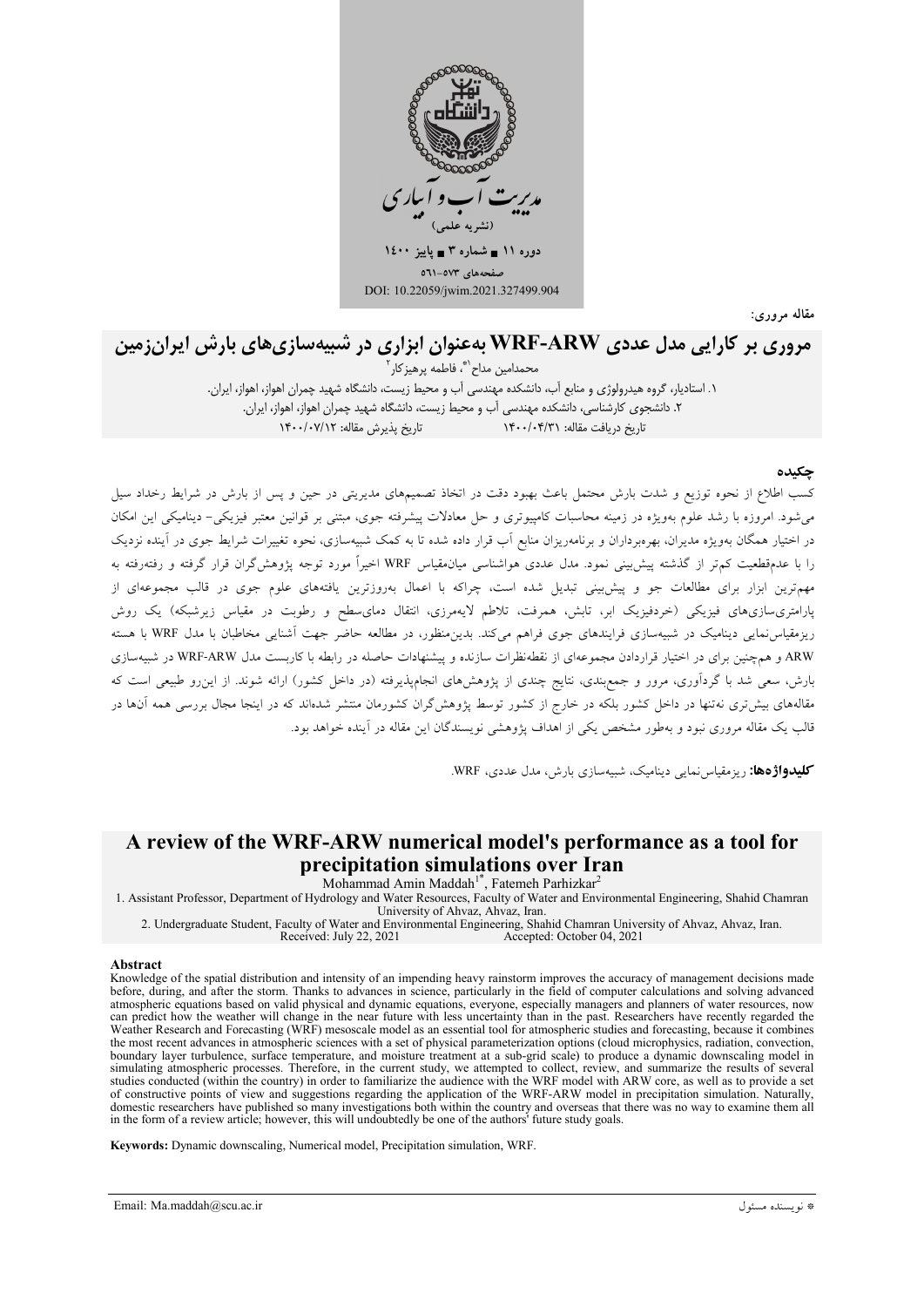

مقاله مروري:

# مروری بر کارایی مدل عددی WRF-ARW بهعنوان ابزاری در شبیهسازیهای بارش ایرانزمین

محمدامین مداح`\*، فاطمه پرهیز کار آ

۱. استادیار، گروه هیدرولوژی و منابع آب، دانشکده مهندسی آب و محیط زیست، دانشگاه شهید چمران اهواز، اهواز، ایران. ٢. دانشجوی کارشناسی، دانشکده مهندسی آب و محیط زیست، دانشگاه شهید چمران اهواز، اهواز، ایران. تاريخ دريافت مقاله: ١۴٠٠/٠۴/٣١

### حكىدە

کسب اطلاع از نحوه توزیع و شدت بارش محتمل باعث بهبود دقت در اتخاذ تصمیمهای مدیریتی در حین و پس از بارش در شرایط رخداد سیل می شود. امروزه با رشد علوم بهویژه در زمینه محاسبات کامپیوتری و حل معادلات پیشرفته جوی، مبتنی بر قوانین معتبر فیزیکی- دینامیکی این امکان در اختیار همگان بهویژه مدیران، بهرهبرداران و برنامهریزان منابع آب قرار داده شده تا به کمک شبیهسازی، نحوه تغییرات شرایط جوی در آینده نزدیک را با عدمقطعیت کمتر از گذشته پیش بینی نمود. مدل عددی هواشناسی میان.قیاس WRF اخیراً مورد توجه پژوهشگران قرار گرفته و رفتهرفته به .<br>مهمترین ابزار برای مطالعات جو و پیش<sub>ا</sub>بینی تبدیل شده است، چراکه با اعمال بهروزترین یافتههای علوم جوی در قالب مجموعهای از پارامتریسازیهای فیزیکی (خردفیزیک ابر، تابش، همرفت، تلاطم لایهمرزی، انتقال دمای سطح و رطوبت در مقیاس زیرشبکه) یک روش ریزمقیاسنمایی دینامیک در شبیهسازی فرایندهای جوی فراهم میکند. بدین منظور، در مطالعه حاضر جهت آشنایی مخاطبان با مدل WRF با هسته ARW و همچنین برای در اختیار قراردادن مجموعهای از نقطهنظرات سازنده و پیشنهادات حاصله در رابطه با کاربست مدل WRF-ARW در شبیهسازی بارش، سعی شد با گردآوری، مرور و جمع بندی، نتایج چندی از پژوهشهای انجامپذیرفته (در داخل کشور) ارائه شوند. از این رو طبیعی است که .<br>مقالههای بیشتری نه تنها در داخل کشور بلکه در خارج از کشور توسط پژوهشگران کشورمان منتشر شدهاند که در اینجا مجال بررسی همه آنها در قالب یک مقاله مروری نبود و بهطور مشخص یکی از اهداف پژوهشی نویسندگان این مقاله در آینده خواهد بود.

کلیدواژهها: ریزمقیاس نمایی دینامیک، شبیهسازی بارش، مدل عددی، WRF.

## A review of the WRF-ARW numerical model's performance as a tool for precipitation simulations over Iran

Mohammad Amin Maddah<sup>1\*</sup>, Fatemeh Parhizkar<sup>2</sup><br>1. Assistant Professor, Department of Hydrology and Water Resources, Faculty of Water and Environmental Engineering, Shahid Chamran University of Ahvaz, Ahvaz, Iran.

2. Undergraduate Student, Faculty of Water and Environmental Engineering, Shahid Chamran University of Ahvaz, Ahvaz, Iran. Received: July 22, 2021 Accepted: October 04, 2021

#### Abstract

Knowledge of the spatial distribution and intensity of an impending heavy rainstorm improves the accuracy of management decisions made before, during, and after the storm. Thanks to advances in science, particularly in the field of computer calculations and solving advanced atmospheric equations based on valid physical and dynamic equations, everyone, especially managers and planners of water resources, now can predict how the weather will change in the near future with less uncertainty than in the past. Researchers have recently regarded the Weather Research and Forecasting (WRF) mesoscale model as an essential tool for atmospheric studies and forecasting, because it combines the most recent advances in atmospheric sciences with a set of physical parameterization options (cloud microphysics, radiation, convection, boundary layer turbulence, surface temperature, and moisture treatment at a sub-grid scale) to produce a dynamic downscaling model in simulating atmospheric processes. Therefore, in the current study, we attempted to collect, review, and summarize the results of several studies conducted (within the country) in order to familiarize the audience with the WRF model with ARW core, as well as to provide a set of constructive points of view and suggestions regarding the application of the WRF-ARW model in precipitation simulation. Naturally, domestic researchers have published so many investigations both within the country and overseas that there was no way to examine them all<br>in the form of a review article; however, this will undoubtedly be one of the author

Keywords: Dynamic downscaling, Numerical model, Precipitation simulation, WRF.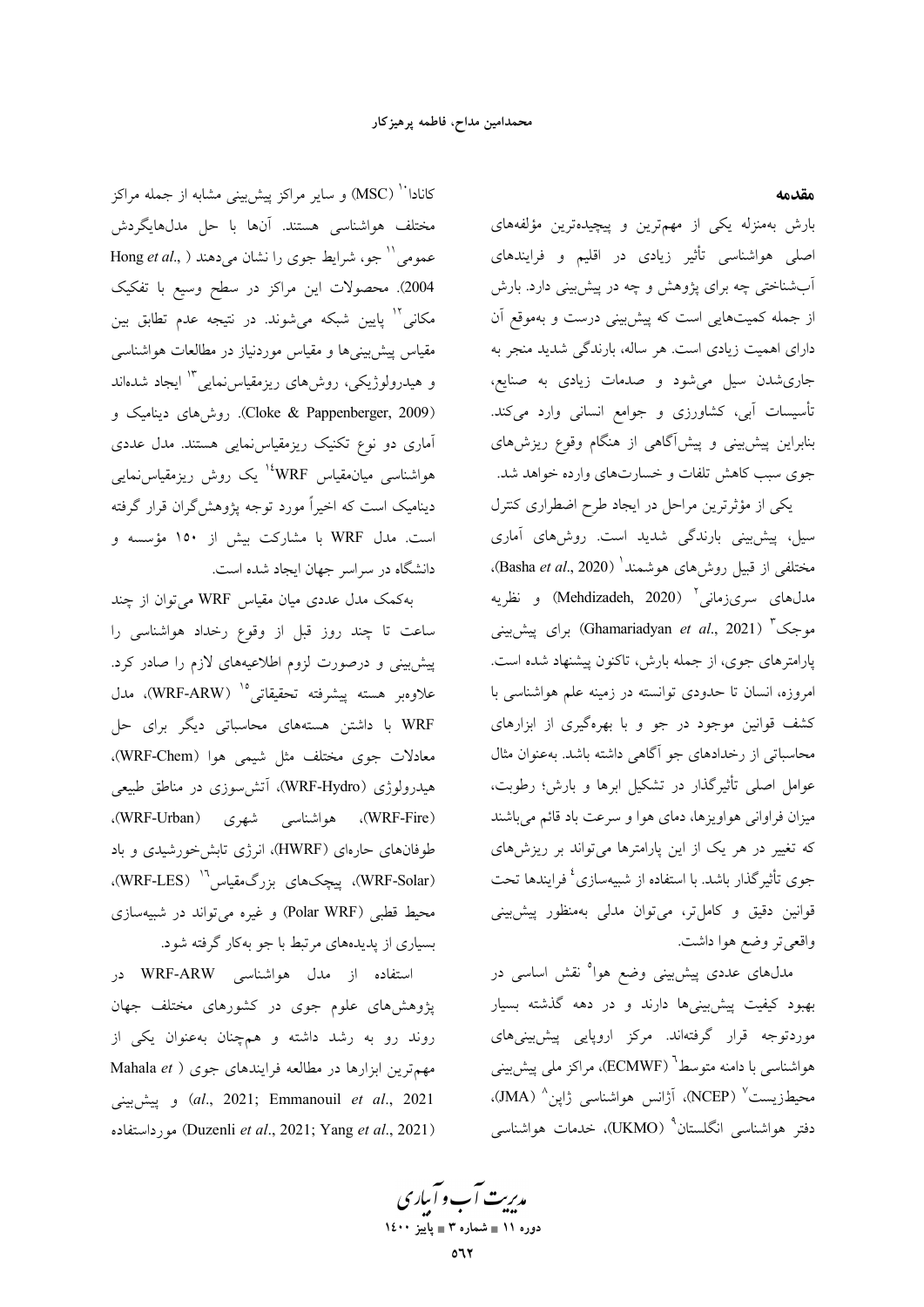#### مقدمه

بارش بهمنزله یکی از مهمترین و پیچیدهترین مؤلفههای اصلی هواشناسی تأثیر زیادی در اقلیم و فرایندهای آبشناختی چه برای پژوهش و چه در پیشبینی دارد. بارش از جمله کمیتهایی است که پیش<sub>ن</sub>ینی درست و بهموقع آن دارای اهمیت زیادی است. هر ساله، بارندگی شدید منجر به جاری شدن سیل می شود و صدمات زیادی به صنایع، تأسیسات آبی، کشاورزی و جوامع انسانی وارد میکند. بنابراین پیشبینی و پیشآگاهی از هنگام وقوع ریزشهای جوی سبب کاهش تلفات و خسارتهای وارده خواهد شد.

یکی از مؤثرترین مراحل در ایجاد طرح اضطراری کنترل سیل، پیشبینی بارندگی شدید است. روشهای آماری مختلفی از قبیل روشهای هوشمند<sup>ا</sup> (Basha *et al.*, 2020). مدل،های سریزمانی ْ (Mehdizadeh, 2020) و نظریه سوجک <sup>۳</sup> (Ghamariadyan *et al.*, 2021) برای پیش.بینی پارامترهای جوی، از جمله بارش، تاکنون پیشنهاد شده است. امروزه، انسان تا حدودی توانسته در زمینه علم هواشناسی با کشف قوانین موجود در جو و با بهرهگیری از ابزارهای محاسباتی از رخدادهای جو آگاهی داشته باشد. بهعنوان مثال عوامل اصلی تأثیرگذار در تشکیل ابرها و بارش؛ رطوبت، میزان فراوانی هواویزها، دمای هوا و سرعت باد قائم میباشند که تغییر در هر یک از این پارامترها میتواند بر ریزشهای جوی تأثیرگذار باشد. با استفاده از شبیهسازی<sup>؛</sup> فرایندها تحت قوانین دقیق و کاملتر، میتوان مدلی بهمنظور پیش بینی واقعي تر وضع هوا داشت.

مدلهای عددی پیشبینی وضع هوا<sup>ه</sup> نقش اساسی در بهبود کیفیت پیشبینیها دارند و در دهه گذشته بسیار موردتوجه قرار گرفتهاند. مرکز اروپایی پیش بینیهای هواشناسی با دامنه متوسط<sup>י (</sup>ECMWF)، مراکز مل<sub>ی</sub> پیشبینی محيطزيست<sup>√</sup> (NCEP)، آژانس هواشناس<sub>می</sub> ژاپن<sup>^</sup> (JMA). دفتر هواشناسی انگلستان<sup>۹</sup> (UKMO)، خدمات هواشناسی

کانادا<sup>۱۰ (</sup>MSC) و سایر مراکز پیشبینی مشابه از جمله مراکز مختلف هواشناسی هستند. آنها با حل مدلهایگردش عمومی" جو، شرایط جوی را نشان میدهند ( Hong et al., 2004). محصولات این مراکز در سطح وسیع با تفکیک مکانی<sup>۱۲</sup> پایین شبکه میشوند. در نتیجه عدم تطابق بین مقیاس پیش بینیها و مقیاس موردنیاز در مطالعات هواشناسی و هیدرولوژیکی، روش۵ای ریزمقیاسنمایی ۱<sup>۳</sup> ایجاد شدهاند (Cloke & Pappenberger, 2009). روش های دینامیک و آماری دو نوع تکنیک ریزمقیاس نمایی هستند. مدل عددی ہواشناسی میان.قیاس WRF<sup>، ی</sup>ک روش ریزمقیاس:مایی دینامیک است که اخیراً مورد توجه پژوهشگران قرار گرفته است. مدل WRF با مشارکت بیش از ۱۵۰ مؤسسه و دانشگاه در سراسر جهان ایجاد شده است.

بهکمک مدل عددی میان مقیاس WRF میتوان از چند ساعت تا چند روز قبل از وقوع رخداد هواشناسی را پیش بینی و درصورت لزوم اطلاعیههای لازم را صادر کرد. علاوهبر هسته پیشرفته تحقیقاتی<sup>10 (</sup>WRF-ARW)، مدل WRF با داشتن هستههای محاسباتی دیگر برای حل معادلات جوى مختلف مثل شيمي هوا (WRF-Chem)، هیدرولوژی (WRF-Hydro)، آتشسوزی در مناطق طبیعی (WRF-Fire)، هواشناسی شهری (WRF-Urban)، طوفانهای حارهای (HWRF)، انرژی تابش خورشیدی و باد (WRF-Solar)، پیچکھای بزرگىمقیاس" (WRF-LES). محیط قطبی (Polar WRF) و غیره می تواند در شبیهسازی بسیاری از پدیدههای مرتبط با جو بهکار گرفته شود.

استفاده از مدل هواشناسی WRF-ARW در پژوهشهای علوم جوی در کشورهای مختلف جهان روند رو به رشد داشته و همچنان بهعنوان یکی از مهم ترین ابزارها در مطالعه فرایندهای جوی ( Mahala et et al., 2021; Emmanouil et al., 2021) و ييش بينى (Duzenli et al., 2021; Yang et al., 2021) مورداستفاده

مدیریت آب و آباری دوره ۱۱ ∎ شماره ۳ ∎ یاییز ۱٤۰۰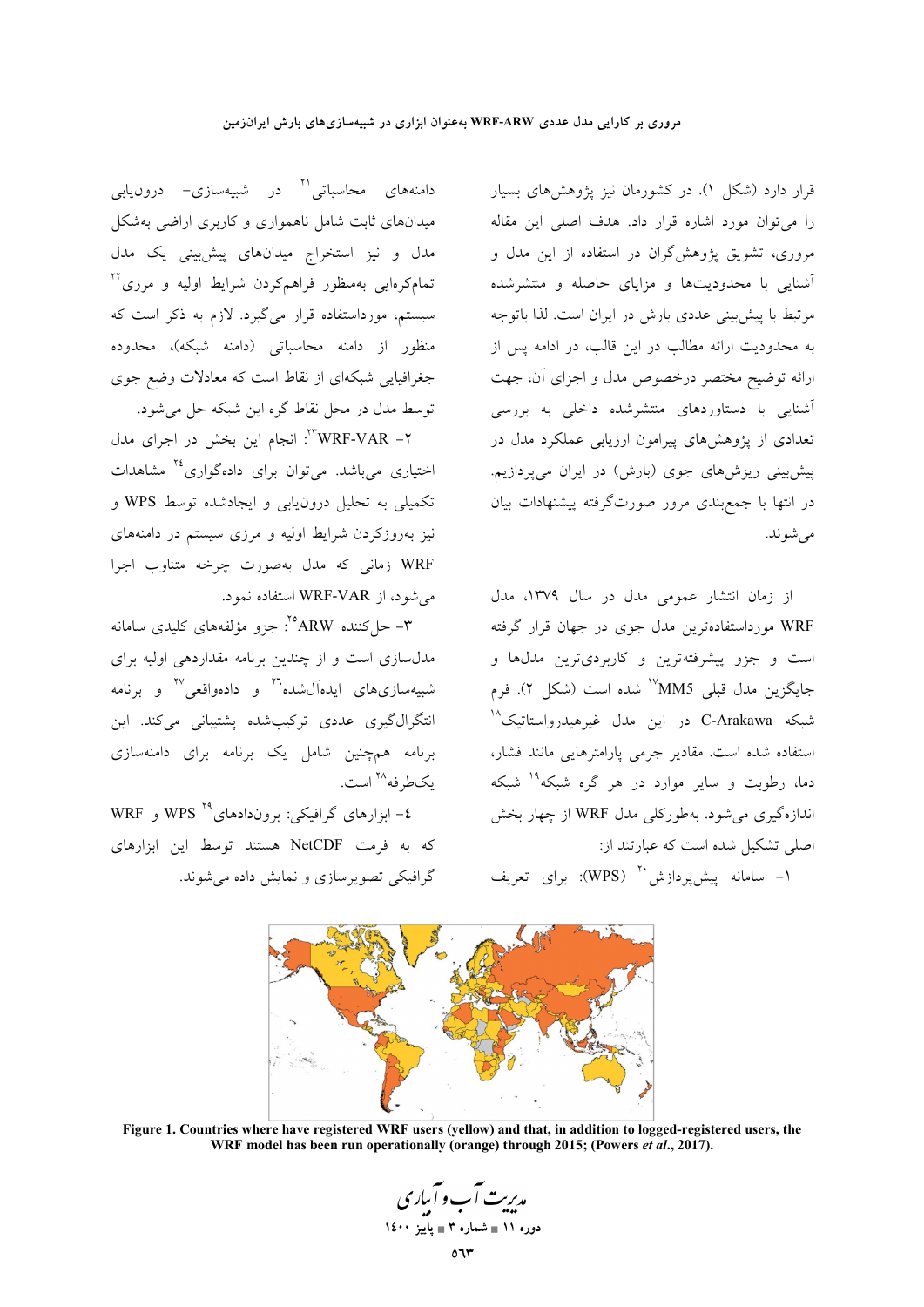قرار دارد (شکل ۱). در کشورمان نیز پژوهشهای بسیار را میٍتوان مورد اشاره قرار داد. هدف اصلی این مقاله مروری، تشویق پژوهشگران در استفاده از این مدل و آشنایی با محدودیتها و مزایای حاصله و منتشرشده مرتبط با پیش بینی عددی بارش در ایران است. لذا باتوجه به محدودیت ارائه مطالب در این قالب، در ادامه پس از ارائه توضیح مختصر درخصوص مدل و اجزای آن، جهت آشنای<sub>ی</sub> با دستاوردهای منتشرشده داخل<sub>ی</sub> به بررسی تعدادی از پژوهشهای پیرامون ارزیابی عملکرد مدل در پیش بینی ریزشهای جوی (بارش) در ایران میپردازیم. در انتها با جمع بندی مرور صورتگرفته پیشنهادات بیان مي شوند.

از زمان انتشار عمومی مدل در سال ۱۳۷۹، مدل WRF مورداستفادهترین مدل جوی در جهان قرار گرفته .<br>است و جزو پیشرفتهترین و کاربردیترین مدلها و جایگزین مدل قبلی MM5<sup>۱۷</sup>شده است (شکل ۲). فرم شبکه C-Arakawa در این مدل غیرهیدرواستاتیک<sup>۱۸</sup> استفاده شده است. مقادیر جرمی پارامترهایی مانند فشار، دما، رطوبت و سایر موارد در هر گره شبکه<sup>۱۹</sup> شبکه اندازهگیری می شود. بهطورکلبی مدل WRF از چهار بخش اصلی تشکیل شده است که عبارتند از:

۱– سامانه پیش پردازش <sup>۲۰</sup> (WPS): برای تعریف

دامنههای محاسباتی<sup>۲۱</sup> در شبیهسازی– درون<sub>ی</sub>اب<sub>ی</sub> میدانهای ثابت شامل ناهمواری و کاربری اراضی بهشکل مدل و نیز استخراج میدانهای پیشبینی یک مدل .<br>تمامکرهایی بهمنظور فراهمکردن شرایط اولیه و مرزی<sup>۲۲</sup> سیستم، مورداستفاده قرار میگیرد. لازم به ذکر است که .<br>منظور از دامنه محاسباتی (دامنه شبکه)، محدوده جغرافیایی شبکهای از نقاط است که معادلات وضع جوی توسط مدل در محل نقاط گره این شبکه حل می شود.

۲- WRF-VAR": انجام این بخش در اجرای مدل اختیاری میباشد. میتوان برای دادهگواری<sup>۲۶</sup> مشاهدات تکمیلی به تحلیل درون یابی و ایجادشده توسط WPS و نیز بهروزکردن شرایط اولیه و مرزی سیستم در دامنههای WRF زمانی که مدل بهصورت چرخه متناوب اجرا می شود، از WRF-VAR استفاده نمود.

۳– حل کننده ARW°': جزو مؤلفههای کلیدی سامانه مدلسازی است و از چندین برنامه مقداردهی اولیه برای شبیهسازیهای ایدهآلشده<sup>۲۰</sup> و دادهواقعی<sup>۲۷</sup> و برنامه انتگرال گیری عددی ترکیب شده پشتیبانی میکند. این برنامه همچنین شامل یک برنامه برای دامنهسازی يکطرفه<sup>۲۸</sup> است.

٤- ابزارهای گرافیکی: بروندادهای °۲ WPS و WRF که به فرمت NetCDF هستند توسط این ابزارهای گرافیکی تصویرسازی و نمایش داده می شوند.



Figure 1. Countries where have registered WRF users (yellow) and that, in addition to logged-registered users, the WRF model has been run operationally (orange) through 2015; (Powers et al., 2017).

مدریت آب و آساری دوره ۱۱ ∎ شماره ۳ ∎ یاییز ۱٤۰۰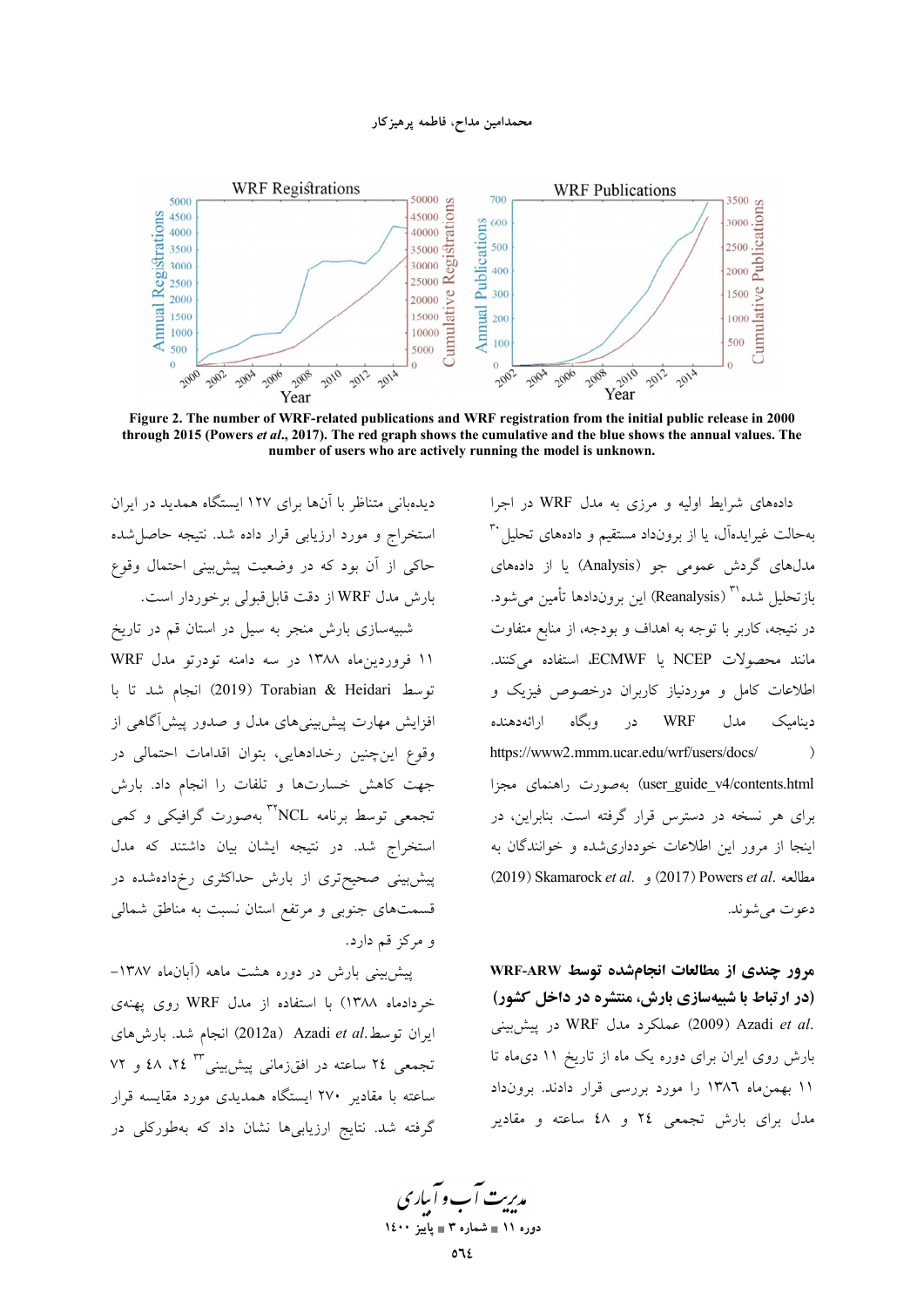#### محمدامین مداح، فاطمه پرهیز کار



Figure 2. The number of WRF-related publications and WRF registration from the initial public release in 2000 through 2015 (Powers et al., 2017). The red graph shows the cumulative and the blue shows the annual values. The number of users who are actively running the model is unknown.

دیدهبانی متناظر با آنها برای ۱۲۷ ایستگاه همدید در ایران استخراج و مورد ارزیابی قرار داده شد. نتیجه حاصا شده حاکی از آن بود که در وضعیت پیش بینی احتمال وقوع بارش مدل WRF از دقت قابل قبولی برخوردار است. شبیهسازی بارش منجر به سیل در استان قم در تاریخ ١١ فروردين ماه ١٣٨٨ در سه دامنه تودرتو مدل WRF توسط Torabian & Heidari (2019) انجام شد تا با افزایش مهارت پیش بینیهای مدل و صدور پیشآگاهی از وقوع اینچنین رخدادهایی، بتوان اقدامات احتمال<sub>ی،</sub> در جهت كاهش خسارتها وتلفات را انجام داد. بارش تجمعی توسط برنامه NCL°<sup>۳۲</sup> بهصورت گرافیکی و کمی استخراج شد. در نتیجه ایشان بیان داشتند که مدل پیش بینی صحیحتری از بارش حداکثری رخدادهشده در قسمتهای جنوبی و مرتفع استان نسبت به مناطق شمال<sub>ی</sub> و مرکز قم دارد.

پیش بینی بارش در دوره هشت ماهه (آبانهاه ۱۳۸۷– خردادماه ۱۳۸۸) با استفاده از مدل WRF روی یهنهی ايران توسط.Azadi et al (2012a) انجام شد. بارش هاي تجمعی ٢٤ ساعته در افقزمانی پیش بینی ٢٣ ٢٤، ٤٨ و ٧٢ .<br>ساعته با مقادیر ۲۷۰ ایستگاه همدیدی مورد مقایسه قرار گرفته شد. نتایج ارزیابیها نشان داد که بهطورکلی در

دادههای شرایط اولیه و مرزی به مدل WRF در اجرا بهحالت غیرایدهآل، یا از برونداد مستقیم و دادههای تحلیل ۳۰ مدلهای گردش عمومی جو (Analysis) یا از دادههای بازتحليل شده''' (Reanalysis) اين بروندادها تأمين مي شود. در نتیجه، کاربر با توجه به اهداف و بودجه، از منابع متفاوت مانند محصولات NCEP یا ECMWF، استفاده میکنند. اطلاعات کامل و موردنیاز کاربران درخصوص فیزیک و در وبگاه ارائهدهنده **WRF** مدل ديناميک https://www2.mmm.ucar.edu/wrf/users/docs/  $\rightarrow$ user\_guide\_v4/contents.html) بهصورت راهنمای مجزا برای هر نسخه در دسترس قرار گرفته است. بنابراین، در اینجا از مرور این اطلاعات خودداریشده و خوانندگان به (2019) Skamarock et al. , (2017) Powers et al. مطالعه دعوت مے شوند.

مرور چندی از مطالعات انجامشده توسط WRF-ARW (در ارتباط با شبیهسازی بارش، منتشره در داخل کشور) .WRF در پیش بینی WRF در پیش بینی بارش روی ایران برای دوره یک ماه از تاریخ ۱۱ دیماه تا ۱۱ بهمن ماه ۱۳۸۶ را مورد بررسی قرار دادند. برونداد مدل برای بارش تجمعی ۲٤ و ٤٨ ساعته و مقادیر

مدریت آب و آباری دوره ۱۱ ∎ شماره ۳ ∎ یاییز ۱٤۰۰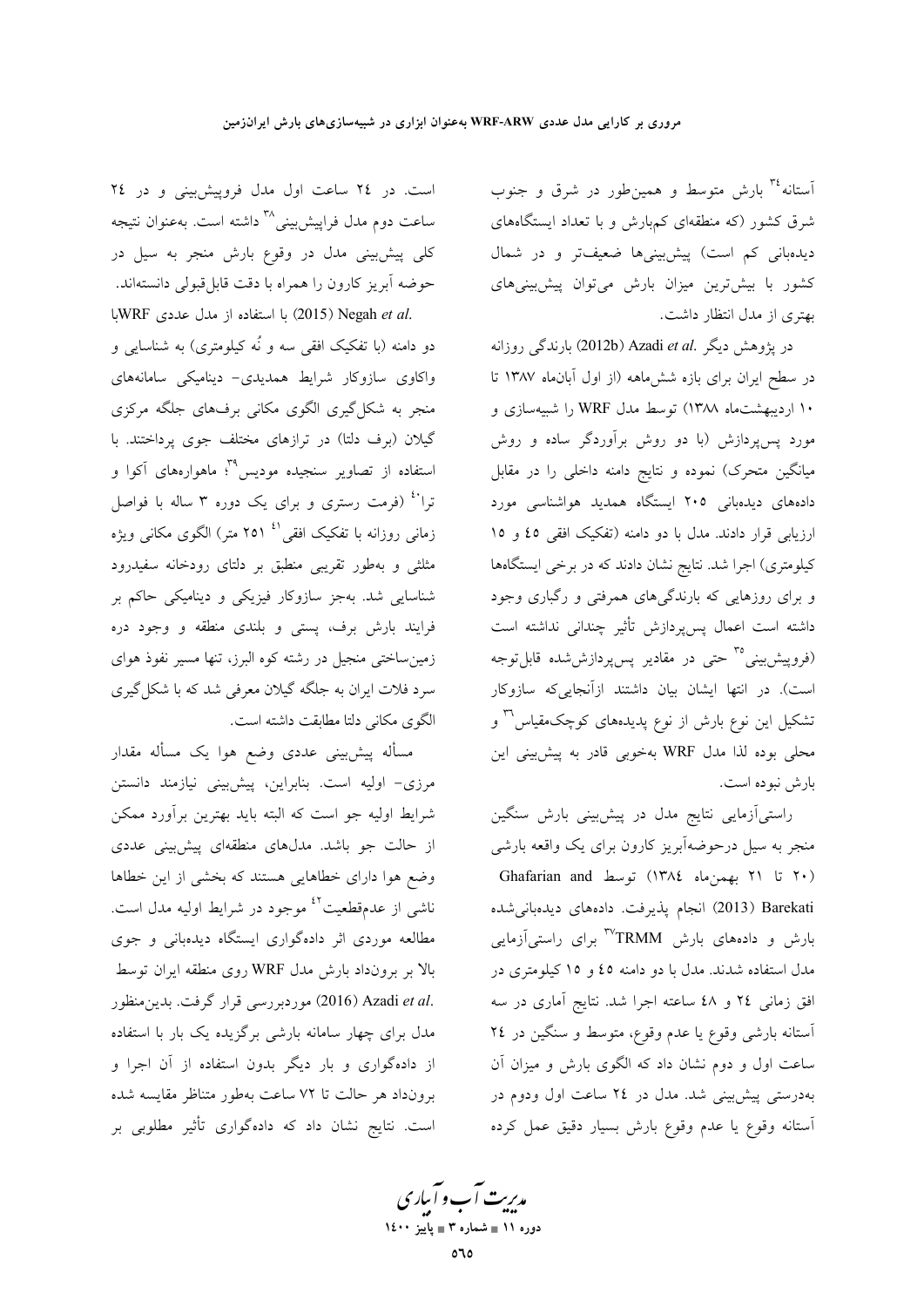آستانه<sup>۳</sup> بارش متوسط و همین $d$ ور در شرق و جنوب شرق کشور (که منطقهای کمهبارش و با تعداد ایستگاههای دیدهبانی کم است) پیشبینیها ضعیفتر و در شمال کشور با بیش ترین میزان بارش می توان پیش بینی های بهتری از مدل انتظار داشت.

در يژوهش ديگر .Azadi et al (2012b) بارندگي روزانه در سطح ایران برای بازه ششهاهه (از اول آبانهاه ۱۳۸۷ تا ۱۰ اردیبهشتماه ۱۳۸۸) توسط مدل WRF را شبیهسازی و مورد پس پردازش (با دو روش برآوردگر ساده و روش میانگین متحرک) نموده و نتایج دامنه داخلی را در مقابل دادههای دیدهبانی ۲۰۵ ایستگاه همدید هواشناسی مورد ارزیابی قرار دادند. مدل با دو دامنه (تفکیک افقی ٤٥ و ١٥ کیلومتری) اجرا شد. نتایج نشان دادند که در برخی ایستگاهها و برای روزهایی که بارندگیهای همرفتی و رگباری وجود داشته است اعمال پسپردازش تأثیر چندانی نداشته است (فروپیشبینی°<sup>۳</sup> حت<sub>ی</sub> در مقادیر پسپردازششده قابلتوجه است). در انتها ایشان بیان داشتند ازآنجایی که سازوکار تشکیل این نوع بارش از نوع پدیدههای کوچکمقیاس<sup>۳</sup> و محلی بوده لذا مدل WRF بهخوبی قادر به پیشبینی این بارش نبوده است.

راستیآزمایی نتایج مدل در پیشبینی بارش سنگین منجر به سیل درحوضهآبریز کارون برای یک واقعه بارشی (۲۰ تا ۲۱ بهمنِماه ١٣٨٤) توسط Ghafarian and Barekati (2013) انجام پذیرفت. دادههای دیدهبانی شده بارش و دادههای بارش <sup>rv</sup>TRMM برای راستیآزمایی مدل استفاده شدند. مدل با دو دامنه ٤٥ و ١٥ كيلومترى در افق زمانی ٢٤ و ٤٨ ساعته اجرا شد. نتایج آماری در سه آستانه بارشی وقوع یا عدم وقوع، متوسط و سنگین در ٢٤ ساعت اول و دوم نشان داد که الگوی بارش و میزان آن بهدرستی پیش بینی شد. مدل در ٢٤ ساعت اول ودوم در أستانه وقوع يا عدم وقوع بارش بسيار دقيق عمل كرده

است. در ٢٤ ساعت اول مدل فروپيش بيني و در ٢٤ ساعت دوم مدل فراپیشبینی<sup>۳۸</sup> داشته است. بهعنوان نتیجه کلی پیش بینی مدل در وقوع بارش منجر به سیل در حوضه آبریز کارون را همراه با دقت قابل قبولی دانستهاند. .2015) Negah et al. با استفاده از مدل عددی WRFبا

دو دامنه (با تفکیک افقی سه و نُه کیلومتری) به شناسایی و واکاوی سازوکار شرایط همدیدی- دینامیکی سامانههای منجر به شکل گیری الگوی مکانی برفهای جلگه مرکزی گیلان (برف دلتا) در ترازهای مختلف جوی پرداختند. با استفاده از تصاویر سنجیده مودیس<sup>۳۹</sup> ماهوارههای آکوا و ترا<sup>،،</sup> (فرمت رستری و برای یک دوره ۳ ساله با فواصل زمانی روزانه با تفکیک افقی <sup>۱٬</sup> ۲۵۱ متر) الگوی مکانی ویژه مثلثی و بهطور تقریبی منطبق بر دلتای رودخانه سفیدرود شناسایی شد. بهجز سازوکار فیزیک<sub>ی</sub> و دینامیکی حاکم بر فرایند بارش برف، پستی و بلندی منطقه و وجود دره زمین ساختی منجیل در رشته کوه البرز، تنها مسیر نفوذ هوای سرد فلات ایران به جلگه گیلان معرفی شد که با شکل گیری الگوی مکانی دلتا مطابقت داشته است.

مسأله پیشبینی عددی وضع هوا یک مسأله مقدار مرزی- اولیه است. بنابراین، پیشبینی نیازمند دانستن شرایط اولیه جو است که البته باید بهترین برآورد ممکن از حالت جو باشد. مدلهای منطقهای پیشبینی عددی وضع هوا دارای خطاهایی هستند که بخشی از این خطاها ناشی از عدمقطعیت<sup>٤٢</sup> موجود در شرایط اولیه مدل است. مطالعه موردی اثر دادهگواری ایستگاه دیدهبانی و جوی بالا بر برونداد بارش مدل WRF روی منطقه ایران توسط .2016) Azadi et al موردبررسي قرار گرفت. بدين منظور مدل برای چهار سامانه بارشی برگزیده یک بار با استفاده از دادهگواری و بار دیگر بدون استفاده از آن اجرا و برونداد هر حالت تا ٧٢ ساعت بهطور متناظر مقايسه شده است. نتایج نشان داد که دادهگواری تأثیر مطلوبی بر

مدیریت آب و آبیاری<br>م دوره ۱۱ ∎ شماره ۳ ∎ یاییز ۱٤۰۰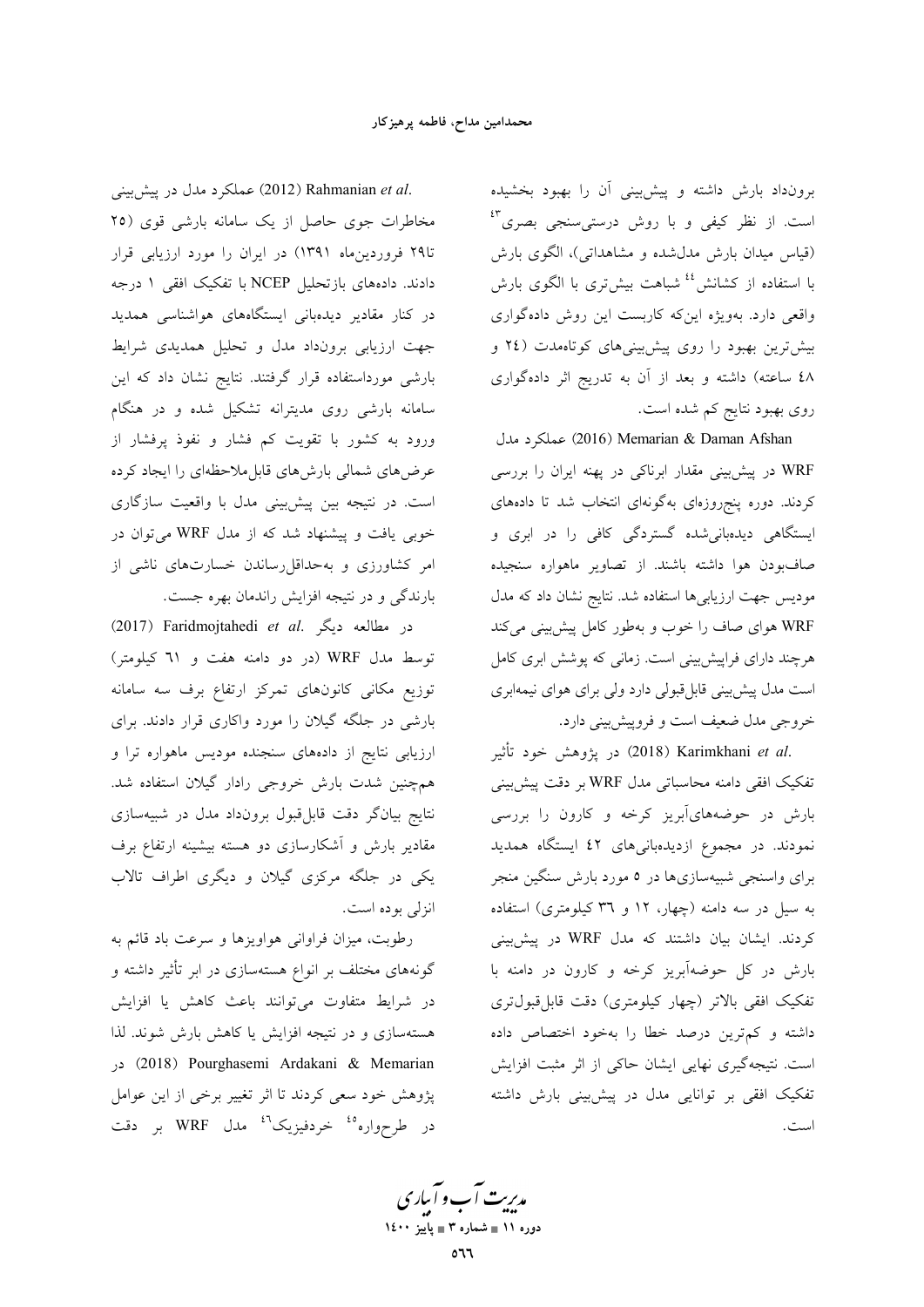برونداد بارش داشته و پیش بینی آن را بهبود بخشیده است. از نظر کیفی و با روش درستی سنجی بصری<sup>۴</sup> (قیاس میدان بارش مدل شده و مشاهداتی)، الگوی بارش با استفاده از کشانش<sup>؛؛</sup> شباهت بیشتری با الگوی بارش واقعی دارد. بهویژه اینکه کاربست این روش دادهگواری بیش ترین بهبود را روی پیشبینیهای کوتاهمدت (٢٤ و ٤٨ ساعته) داشته و بعد از آن به تدريج اثر دادهگواري روی بهبود نتایج کم شده است.

(2016) Memarian & Daman Afshan عملكرد مدل WRF در پیش بینی مقدار ابرناکی در پهنه ایران را بررسی کردند. دوره پنجروزهای بهگونهای انتخاب شد تا دادههای ایستگاه<sub>ی</sub> دیدهبانی شده گستردگی کافی را در ابری و صافبودن هوا داشته باشند. از تصاویر ماهواره سنجیده مودیس جهت ارزیابیها استفاده شد. نتایج نشان داد که مدل WRF هوای صاف را خوب و بهطور کامل پیش بینی می کند هرچند دارای فراپیش بینی است. زمانی که پوشش ابری کامل است مدل پیش بینی قابل قبولی دارد ولی برای هوای نیمهابری خروجي مدل ضعيف است و فروپيش بيني دارد.

.2018) Karimkhani et al در پژوهش خود تأثیر تفکیک افقی دامنه محاسباتی مدل WRF بر دقت پیشبینی بارش در حوضههایآبریز کرخه و کارون را بررسی نمودند. در مجموع ازدیدهبانیهای ٤٢ ایستگاه همدید برای واسنجی شبیهسازیها در ٥ مورد بارش سنگین منجر به سیل در سه دامنه (چهار، ۱۲ و ۳۹ کیلومتری) استفاده کردند. ایشان بیان داشتند که مدل WRF در پیشبینی بارش در کل حوضهآبریز کرخه و کارون در دامنه با تفکیک افقی بالاتر (چهار کیلومتری) دقت قابلقبولتری داشته و کم ترین درصد خطا را بهخود اختصاص داده است. نتیجهگیری نهایی ایشان حاکی از اثر مثبت افزایش تفکیک افقی بر توانایی مدل در پیشبینی بارش داشته است.

.2012) Rahmanian et al عملکرد مدل در پیش بینی مخاطرات جوی حاصل از یک سامانه بارشی قوی (۲۵ تا۲۹ فروردین ماه ۱۳۹۱) در ایران را مورد ارزیابی قرار دادند. دادههای بازتحلیل NCEP با تفکیک افقی ۱ درجه در کنار مقادیر دیدهبانی ایستگاههای هواشناسی همدید جهت ارزیابی برونداد مدل و تحلیل همدیدی شرایط بارشی مورداستفاده قرار گرفتند. نتایج نشان داد که این سامانه بارشی روی مدیترانه تشکیل شده و در هنگام ورود به کشور با تقویت کم فشار و نفوذ پرفشار از عرضهای شمالی بارشهای قابل ملاحظهای را ایجاد کرده است. در نتیجه بین پیشبینی مدل با واقعیت سازگاری خوبی یافت و پیشنهاد شد که از مدل WRF می توان در امر کشاورزی و به حداقل رساندن خسارتهای ناشی از بارندگی و در نتیجه افزایش راندمان بهره جست.

در مطالعه دیگر .2017) Faridmojtahedi et al توسط مدل WRF (در دو دامنه هفت و ٦١ كيلومتر) توزیع مکانی کانونهای تمرکز ارتفاع برف سه سامانه بارشی در جلگه گیلان را مورد واکاری قرار دادند. برای ارزیابی نتایج از دادههای سنجنده مودیس ماهواره ترا و همچنین شدت بارش خروجی رادار گیلان استفاده شد. نتایج بیانگر دقت قابل،قبول برونداد مدل در شبیهسازی مقادیر بارش و آشکارسازی دو هسته بیشینه ارتفاع برف یکی در جلگه مرکزی گیلان و دیگری اطراف تالاب انزلي بو ده است.

رطوبت، میزان فراوانی هواویزها و سرعت باد قائم به گونههای مختلف بر انواع هستهسازی در ابر تأثیر داشته و در شرایط متفاوت میتوانند باعث کاهش یا افزایش هستهسازی و در نتیجه افزایش یا کاهش بارش شوند. لذا در (2018) Pourghasemi Ardakani & Memarian پژوهش خود سعی کردند تا اثر تغییر برخی از این عوامل در طرحواره<sup>ه،</sup> خردفیزیک<sup>۶</sup>ٔ مدل WRF بر دقت

مدیریت آب و آباری دوره ۱۱ ∎ شماره ۳ ∎ پاییز ۱٤۰۰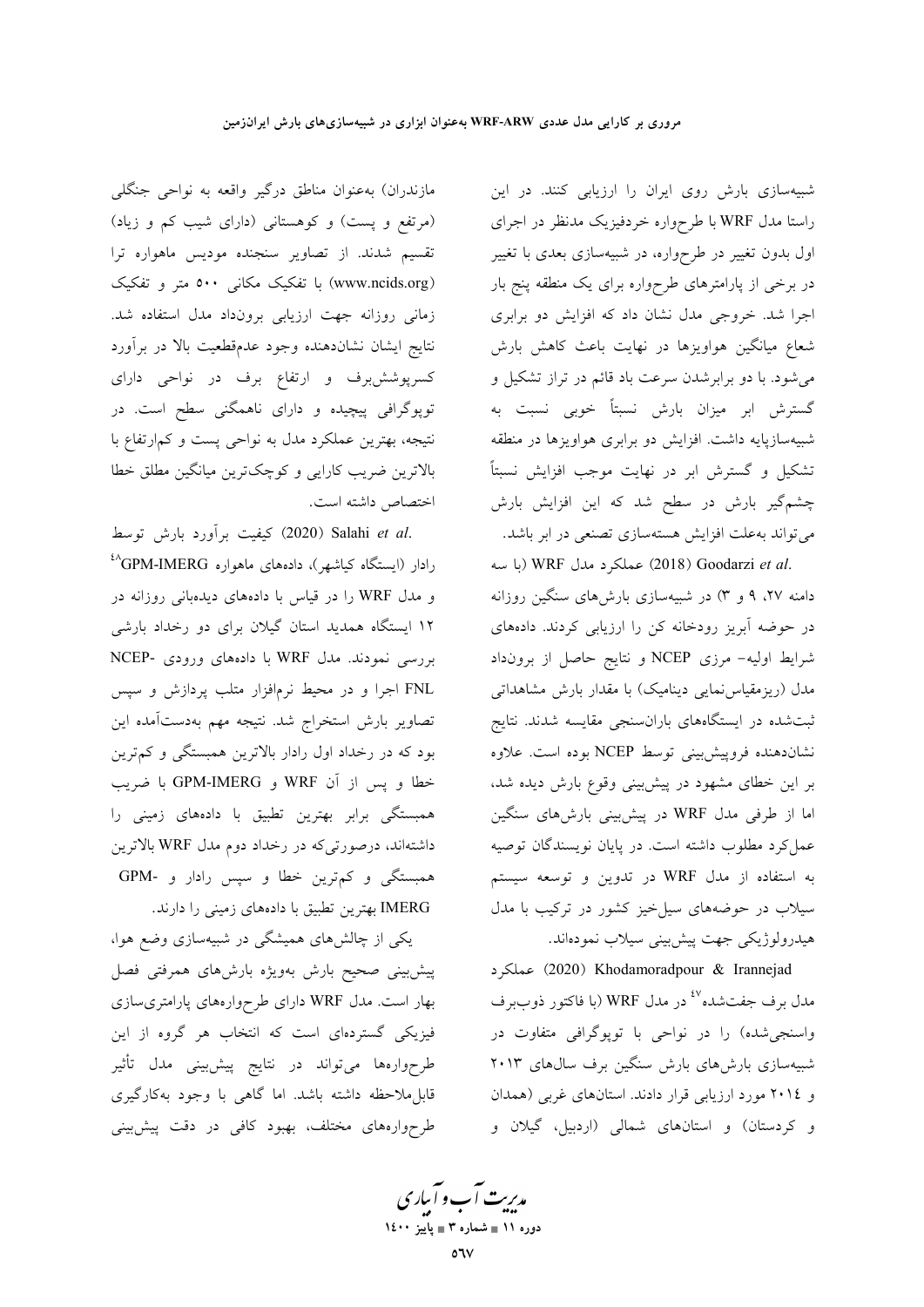مازندران) بهعنوان مناطق درگیر واقعه به نواحی جنگلی (مرتفع و پست) و کوهستانی (دارای شیب کم و زیاد) تقسیم شدند. از تصاویر سنجنده مودیس ماهواره ترا (www.ncids.org) با تفکیک مکانی ۵۰۰ متر و تفکیک زمانی روزانه جهت ارزیابی برونداد مدل استفاده شد. نتايج ايشان نشاندهنده وجود عدمقطعيت بالا در برأورد کسرپوششبرف و ارتفاع برف در نواحی دارای توپوگرافی پیچیده و دارای ناهمگنی سطح است. در نتیجه، بهترین عملکرد مدل به نواحی پست و کمارتفاع با بالاترین ضریب کارایی و کوچکترین میانگین مطلق خطا اختصاص داشته است.

.2020) Salahi et al كيفيت برأورد بارش توسط رادار (ایستگاه کیاشهر)، دادههای ماهواره GPM-IMERG<sup>، ۲</sup> و مدل WRF را در قیاس با دادههای دیدهبانی روزانه در ۱۲ ایستگاه همدید استان گیلان برای دو رخداد بارشی بررسی نمودند. مدل WRF با دادههای ورودی -NCEP FNL اجرا و در محیط نرمافزار متلب پردازش و سپس تصاویر بارش استخراج شد. نتیجه مهم بهدستآمده این بود که در رخداد اول رادار بالاترین همبستگی و کم ترین خطا و پس از آن WRF و GPM-IMERG با ضريب همبستگی برابر بهترین تطبیق با دادههای زمینی را داشتهاند، درصورتیکه در رخداد دوم مدل WRF بالاترین همبستگی و کم ترین خطا و سپس رادار و -GPM IMERG بهترین تطبیق با دادههای زمینی را دارند.

یکی از چالشهای همیشگی در شبیهسازی وضع هوا، پیش بینی صحیح بارش بهویژه بارشهای همرفتی فصل بهار است. مدل WRF دارای طرحوارههای پارامتریسازی فیزیکی گستردهای است که انتخاب هر گروه از این طرحوارهها میتواند در نتایج پیشبینی مدل تأثیر قابل ملاحظه داشته باشد. اما گاهی با وجود بهکارگیری طرحوارههای مختلف، بهبود کافی در دقت پیش بینی

شبیهسازی بارش روی ایران را ارزیابی کنند. در این راستا مدل WRF با طرحواره خردفیزیک مدنظر در اجرای اول بدون تغییر در طرحواره، در شبیهسازی بعدی با تغییر در برخی از پارامترهای طرحواره برای یک منطقه پنج بار اجرا شد. خروجی مدل نشان داد که افزایش دو برابری شعاع میانگین هواویزها در نهایت باعث کاهش بارش می شود. با دو برابرشدن سرعت باد قائم در تراز تشکیل و گسترش ابر میزان بارش نسبتاً خوبی نسبت به شبیهسازپایه داشت. افزایش دو برابری هواویزها در منطقه تشکیل و گسترش ابر در نهایت موجب افزایش نسبتاً چشمگیر بارش در سطح شد که این افزایش بارش می تواند به علت افزایش هستهسازی تصنعی در ابر باشد.

.WRF (با سه) WRF عملكرد مدل) wRF (با سه دامنه ۲۷، ۹ و ۳) در شبیهسازی بارشهای سنگین روزانه در حوضه آبریز رودخانه کن را ارزیابی کردند. دادههای شرايط اوليه- مرزى NCEP و نتايج حاصل از برونداد مدل (ریزمقیاس نمایی دینامیک) با مقدار بارش مشاهداتی ثبت شده در ایستگاههای باران سنجی مقایسه شدند. نتایج نشاندهنده فروپیشبینی توسط NCEP بوده است. علاوه بر این خطای مشهود در پیشبینی وقوع بارش دیده شد، اما از طرفی مدل WRF در پیشبینی بارشهای سنگین عمل کرد مطلوب داشته است. در پایان نویسندگان توصیه به استفاده از مدل WRF در تدوین و توسعه سیستم سیلاب در حوضههای سیل خیز کشور در ترکیب با مدل هيدرولوژيكي جهت پيش بيني سيلاب نمودهاند.

(2020) Khodamoradpour & Irannejad مدل برف جفتشده<sup>٤٧</sup> در مدل WRF (با فاكتور ذوببرف واسنجی شده) را در نواحی با توپوگرافی متفاوت در شبیهسازی بارشهای بارش سنگین برف سالهای ۲۰۱۳ و ٢٠١٤ مورد ارزيابي قرار دادند. استانهاي غربي (همدان و کردستان) و استانهای شمالی (اردبیل، گیلان و

مدیریت آب و آباری دوره ۱۱ ∎ شماره ۳ ∎ یاییز ۱٤۰۰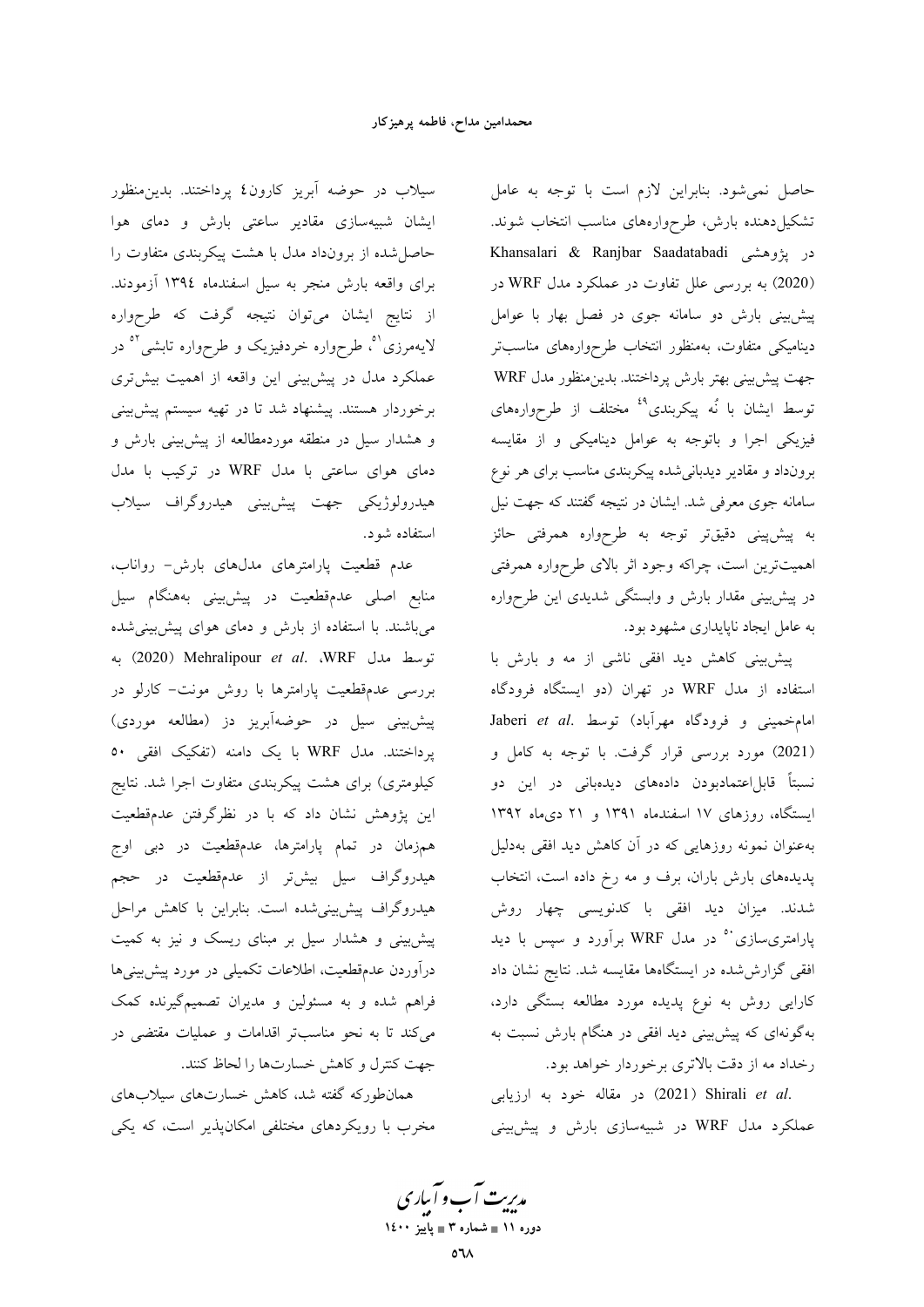حاصل نمی شود. بنابراین لازم است با توجه به عامل تشکیلدهنده بارش، طرحوارههای مناسب انتخاب شوند. Khansalari & Ranjbar Saadatabadi در پژوهشی (2020) به بررسی علل تفاوت در عملکرد مدل WRF در پیش بینی بارش دو سامانه جوی در فصل بهار با عوامل دینامیکی متفاوت، بهمنظور انتخاب طرحوارههای مناسبتر جهت پیش بینی بهتر بارش پرداختند. بدینمنظور مدل WRF توسط ایشان با نُه پیکربندی<sup>٤٩</sup> مختلف از طرحوارههای فیزیکی اجرا و باتوجه به عوامل دینامیکی و از مقایسه برونداد و مقادیر دیدبانی شده پیکربندی مناسب برای هر نوع سامانه جوی معرفی شد. ایشان در نتیجه گفتند که جهت نیل به پیش،پینی دقیقتر توجه به طرحواره همرفتی حائز اهمیتترین است، چراکه وجود اثر بالای طرحواره همرفتی در پیش بینی مقدار بارش و وابستگی شدیدی این طرحواره به عامل ایجاد ناپایداری مشهود بود.

پیش بینی کاهش دید افقی ناشی از مه و بارش با استفاده از مدل WRF در تهران (دو ایستگاه فرودگاه Jaberi et al. امامخميني و فرودگاه مهرآباد) توسط (2021) مورد بررسی قرار گرفت. با توجه به کامل و نسبتاً قابل|عتمادبودن دادههای دیدهبانی در این دو ایستگاه، روزهای ۱۷ اسفندماه ۱۳۹۱ و ۲۱ دیماه ۱۳۹۲ بهعنوان نمونه روزهایی که در آن کاهش دید افقی بهدلیل پدیدههای بارش باران، برف و مه رخ داده است، انتخاب شدند. میزان دید افقی با کدنویسی چهار روش پارامتری سازی<sup>۵۰</sup> در مدل WRF برآورد و سپس با دید افقی گزارش شده در ایستگاهها مقایسه شد. نتایج نشان داد کارایی روش به نوع پدیده مورد مطالعه بستگی دارد، بهگونهای که پیش بینی دید افقی در هنگام بارش نسبت به رخداد مه از دقت بالاترى برخوردار خواهد بود.

.2021) Shirali et al (2021) در مقاله خود به ارزيابي عملکرد مدل WRF در شبیهسازی بارش و پیشبینی

سیلاب در حوضه آبریز کارون٤ پرداختند. بدین منظور ایشان شبیهسازی مقادیر ساعتی بارش و دمای هوا حاصل شده از برونداد مدل با هشت پیکربندی متفاوت را برای واقعه بارش منجر به سیل اسفندماه ۱۳۹٤ آزمودند. از نتایج ایشان میتوان نتیجه گرفت که طرحواره لایهمرزی<sup>۵</sup>، طرحواره خردفیزیک و طرحواره تابشی<sup>۵۰</sup> در عملکرد مدل در پیشبینی این واقعه از اهمیت بیشتری برخوردار هستند. پیشنهاد شد تا در تهیه سیستم پیشبینی و هشدار سیل در منطقه موردمطالعه از پیش بینی بارش و دمای هوای ساعتی با مدل WRF در ترکیب با مدل هيدرولوژيکي جهت پيش؛پنې هيدروگراف سيلاب استفاده شود.

عدم قطعیت پارامترهای مدلهای بارش- رواناب، منابع اصلی عدمقطعیت در پیشبینی بههنگام سیل می باشند. با استفاده از بارش و دمای هوای پیش بینی شده توسط مدل WRF (2020) Mehralipour et al. WRF بررسی عدمقطعیت پارامترها با روش مونت- کارلو در پیشبینی سیل در حوضهآبریز دز (مطالعه موردی) یرداختند. مدل WRF با یک دامنه (تفکیک افقی ٥٠ کیلومتری) برای هشت پیکربندی متفاوت اجرا شد. نتایج این پژوهش نشان داد که با در نظرگرفتن عدمقطعیت همزمان در تمام پارامترها، عدمقطعیت در دبی اوج هیدروگراف سیل بیش تر از عدمقطعیت در حجم هیدروگراف پیش بینی شده است. بنابراین با کاهش مراحل پیشبینی و هشدار سیل بر مبنای ریسک و نیز به کمیت درآوردن عدمقطعیت، اطلاعات تکمیلی در مورد پیش بینیها فراهم شده و به مسئولین و مدیران تصمیمگیرنده کمک میکند تا به نحو مناسبتر اقدامات و عملیات مقتضی در جهت كنترل و كاهش خسارتها را لحاظ كنند.

همانطورکه گفته شد، کاهش خسارتهای سیلابهای مخرب با رویکردهای مختلفی امکانپذیر است، که یکی

مدیریت آب و آباری دوره ۱۱ ∎ شماره ۳ ∎ یاییز ۱٤۰۰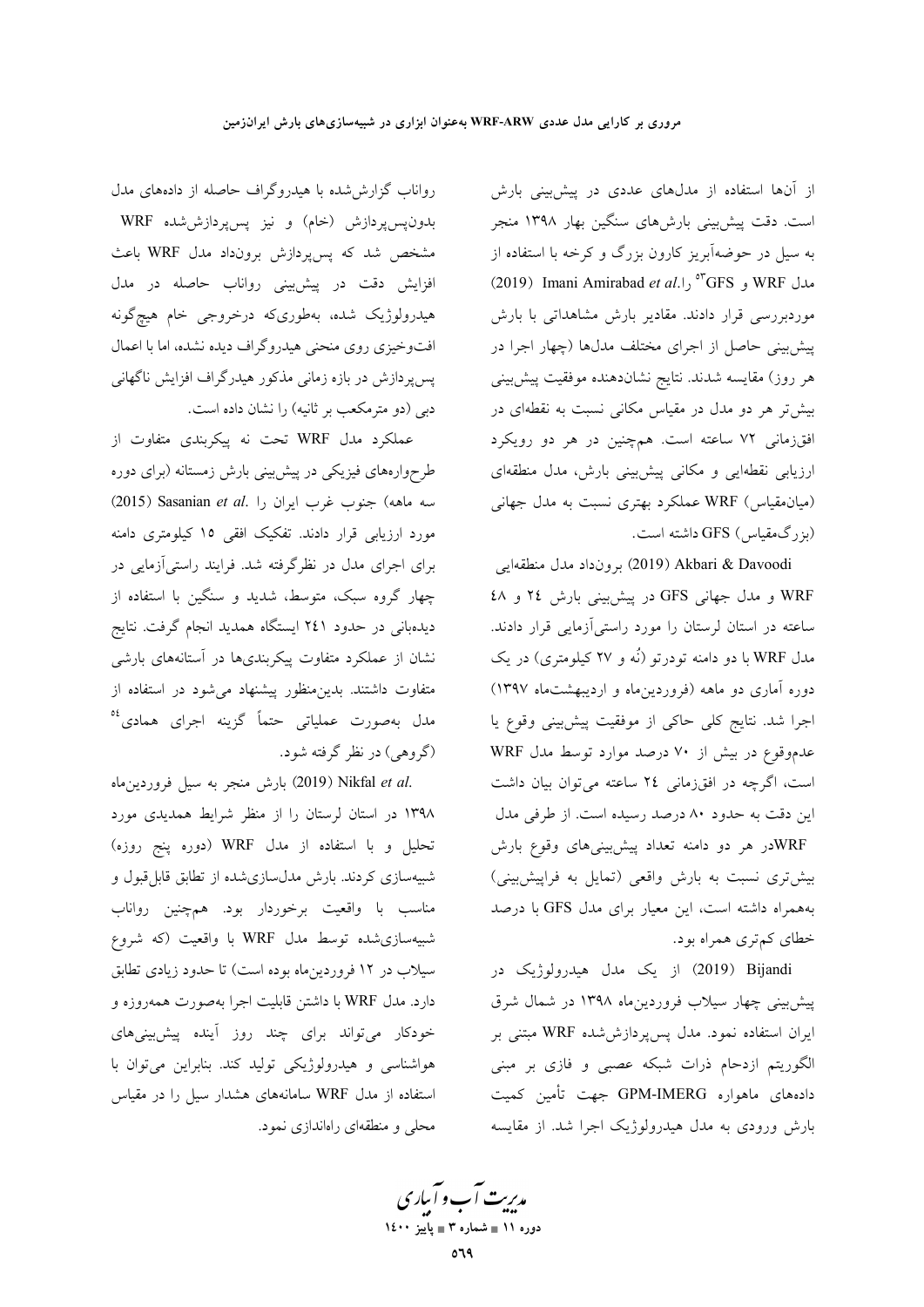از آنها استفاده از مدلهای عددی در پیشبینی بارش است. دقت پیش بینی بارشهای سنگین بهار ۱۳۹۸ منجر به سیل در حوضهآبریز کارون بزرگ و کرخه با استفاده از 0°CFS و GFS<sup>%</sup> را.<sup>0°C</sup>GFS و 2019) Imani Amirabad *et al* موردبررسی قرار دادند. مقادیر بارش مشاهداتی با بارش پیشبینی حاصل از اجرای مختلف مدلها (چهار اجرا در هر روز) مقايسه شدند. نتايج نشاندهنده موفقيت پيشبيني بیش تر هر دو مدل در مقیاس مکانی نسبت به نقطهای در افقزمانی ۷۲ ساعته است. همچنین در هر دو رویکرد ارزیابی نقطهایی و مکانی پیش بینی بارش، مدل منطقهای (میان مقیاس) WRF عملکرد بهتری نسبت به مدل جهانی (بزرگ0قیاس) GFS داشته است.

Akbari & Davoodi برونداد مدل منطقهايي WRF و مدل جهانی GFS در پیشبینی بارش ۲٤ و ٤٨ ساعته در استان لرستان را مورد راستی آزمایی قرار دادند. مدل WRF با دو دامنه تودرتو (نَه و ۲۷ کیلومتری) در یک دوره آماری دو ماهه (فروردین ماه و اردیبهشتماه ۱۳۹۷) اجرا شد. نتایج کلی حاکی از موفقیت پیش بینی وقوع یا عدموقوع در بیش از ۷۰ درصد موارد توسط مدل WRF است، اگرچه در افقزمانی ٢٤ ساعته میتوان بیان داشت این دقت به حدود ۸۰ درصد رسیده است. از طرفی مدل WRFدر هر دو دامنه تعداد پیشبینیهای وقوع بارش بیشتری نسبت به بارش واقعی (تمایل به فراپیش بینی) بههمراه داشته است، این معیار برای مدل GFS با درصد خطای کم تری همراه بود.

Dijandi (2019) از یک مدل هیدرولوژیک در پیشبینی چهار سیلاب فروردین ماه ۱۳۹۸ در شمال شرق ایران استفاده نمود. مدل پسپردازششده WRF مبتنی بر الگوریتم ازدحام ذرات شبکه عصبی و فازی بر مبنی دادههای ماهواره GPM-IMERG جهت تأمین کمیت بارش ورودی به مدل هیدرولوژیک اجرا شد. از مقایسه

رواناب گزارششده با هیدروگراف حاصله از دادههای مدل بدون<sub>ه</sub>س پردازش (خام) و نیز پس پردازششده WRF مشخص شد که پس پردازش برونداد مدل WRF باعث افزایش دقت در پیشبینی رواناب حاصله در مدل هیدرولوژیک شده، بهطوریکه درخروجی خام هیچگونه افتوخیزی روی منحنی هیدروگراف دیده نشده، اما با اعمال پسپردازش در بازه زمانی مذکور هیدرگراف افزایش ناگهانی دبی (دو مترمکعب بر ثانیه) را نشان داده است.

عملکرد مدل WRF تحت نه پیکربندی متفاوت از طرحوارههای فیزیکی در پیش بینی بارش زمستانه (برای دوره سه ماهه) جنوب غرب ايران را .(2015) Sasanian et al مورد ارزیابی قرار دادند. تفکیک افقی ۱۵ کیلومتری دامنه برای اجرای مدل در نظرگرفته شد. فرایند راستیآزمایی در چهار گروه سبک، متوسط، شدید و سنگین با استفاده از دیدهبانی در حدود ۲٤۱ ایستگاه همدید انجام گرفت. نتایج نشان از عملکرد متفاوت پیکربندیها در آستانههای بارشی متفاوت داشتند. بدین منظور پیشنهاد می شود در استفاده از مدل بهصورت عملیاتی حتماً گزینه اجرای همادی<sup>06</sup> (گروهي) در نظر گرفته شود.

.2019) Nikfal *et al بارش منجر به سیل فروردین*ماه ۱۳۹۸ در استان لرستان را از منظر شرایط همدیدی مورد تحلیل و با استفاده از مدل WRF (دوره پنج روزه) شبیهسازی کردند. بارش مدل سازی شده از تطابق قابل قبول و مناسب با واقعیت برخوردار بود. همچنین رواناب شبیهسازی شده توسط مدل WRF با واقعیت (که شروع سیلاب در ۱۲ فروردین.ماه بوده است) تا حدود زیادی تطابق دارد. مدل WRF با داشتن قابلیت اجرا بهصورت همهروزه و خودکار میتواند برای چند روز آینده پیش بینیهای هواشناسی و هیدرولوژیکی تولید کند. بنابراین میتوان با استفاده از مدل WRF سامانههای هشدار سیل را در مقیاس محلی و منطقهای راهاندازی نمود.

مدیریت آب و آباری دوره ۱۱ ∎ شماره ۳ ∎ یاییز ۱٤۰۰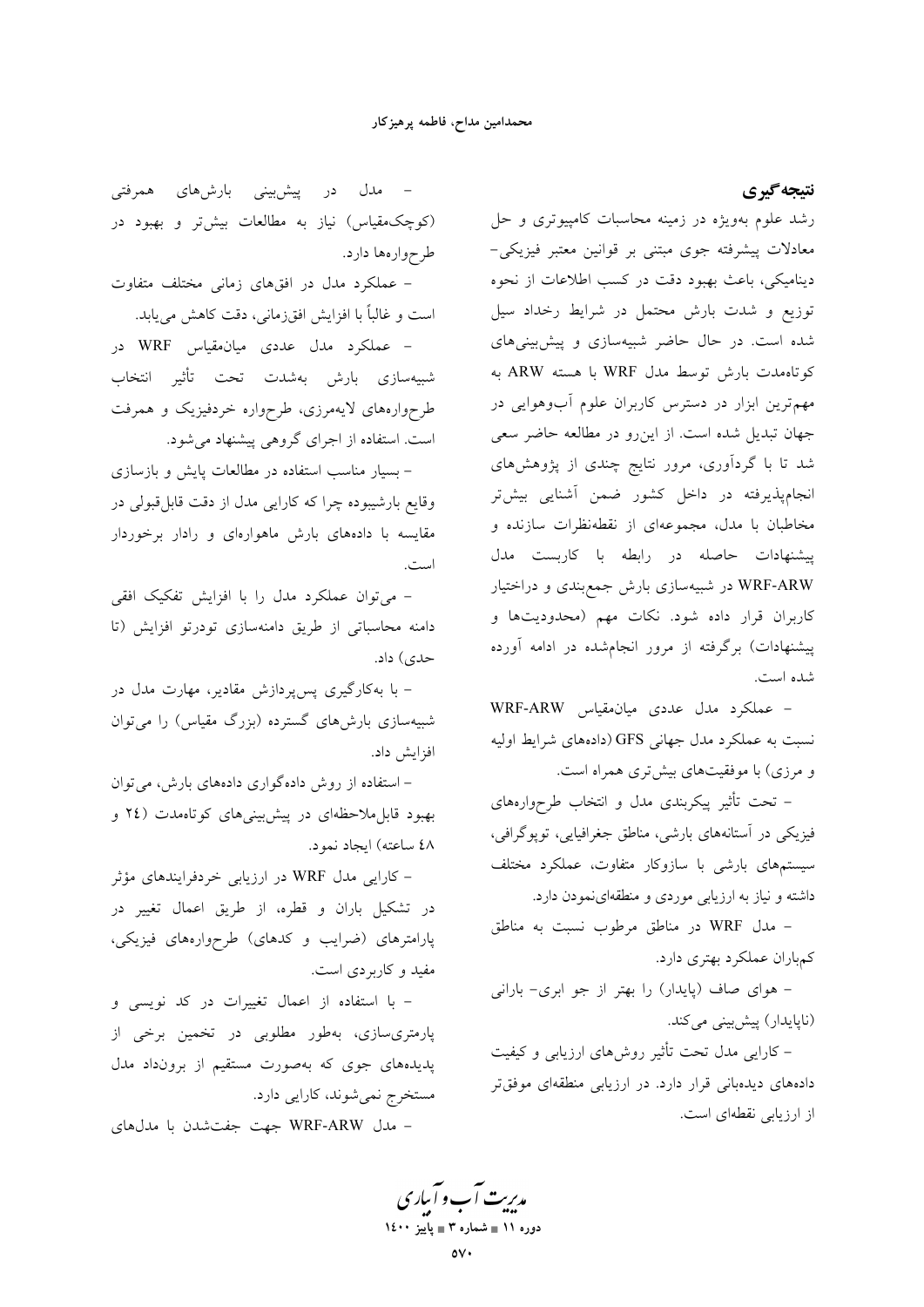نتيجه گيري

رشد علوم بهویژه در زمینه محاسبات کامپیوتری و حل معادلات پیشرفته جوی مبتنی بر قوانین معتبر فیزیکی-دینامیکی، باعث بهبود دقت در کسب اطلاعات از نحوه توزیع و شدت بارش محتمل در شرایط رخداد سیل شده است. در حال حاضر شبیهسازی و پیش بینیهای كوتاهمدت بارش توسط مدل WRF با هسته ARW به مهم ترین ابزار در دسترس کاربران علوم آبوهوایی در جهان تبدیل شده است. از این رو در مطالعه حاضر سعی شد تا با گردآوری، مرور نتایج چندی از پژوهشهای انجامپذیرفته در داخل کشور ضمن آشنایی بیشتر مخاطبان با مدل، مجموعهای از نقطهنظرات سازنده و پیشنهادات حاصله در رابطه با کاربست مدل WRF-ARW در شبیهسازی بارش جمع بندی و دراختیار کاربران قرار داده شود. نکات مهم (محدودیتها و پیشنهادات) برگرفته از مرور انجامشده در ادامه آورده شده است.

- عملکرد مدل عددی میان مقیاس WRF-ARW نسبت به عملکرد مدل جهانی GFS (دادههای شرایط اولیه و مرزی) با موفقیتهای بیشتری همراه است.

– تحت تأثیر پیکربندی مدل و انتخاب طرحوارههای فیزیکی در آستانههای بارشی، مناطق جغرافیایی، توپوگرافی، سیستمهای بارشی با سازوکار متفاوت، عملکرد مختلف داشته و نیاز به ارزیابی موردی و منطقهای نمودن دارد.

- مدل WRF در مناطق مرطوب نسبت به مناطق كمباران عملكرد بهترى دارد.

- هوای صاف (پایدار) را بهتر از جو ابری- بارانی (ناپایدار) پیشبینی میکند.

– کارایی مدل تحت تأثیر روشهای ارزیابی و کیفیت دادههای دیدهبانی قرار دارد. در ارزیابی منطقهای موفقتر از ارزیابی نقطهای است.

– مدل در پیشبینی بارشهای همرفتی (کوچکەمقياس) نياز به مطالعات بيشتر و بھبود در طرحوارهها دارد.

– عملکرد مدل در افقهای زمانی مختلف متفاوت است و غالباً با افزایش افقزمانی، دقت کاهش مییابد.

– عملکرد مدل عددی میان.قیاس WRF در شبيهسازي بارش بهشدت تحت تأثير انتخاب طرحوارههای لایهمرزی، طرحواره خردفیزیک و همرفت است. استفاده از اجرای گروهی پیشنهاد میشود.

- بسیار مناسب استفاده در مطالعات پایش و بازسازی وقايع بارشيبوده چرا كه كارايي مدل از دقت قابل قبولي در مقایسه با دادههای بارش ماهوارهای و رادار برخوردار است.

- می توان عملکرد مدل را با افزایش تفکیک افقی دامنه محاسباتی از طریق دامنهسازی تودرتو افزایش (تا حدی) داد.

– با بهکارگیری پس پردازش مقادیر، مهارت مدل در شبیهسازی بارشهای گسترده (بزرگ مقیاس) را میتوان افزايش داد.

– استفاده از روش دادهگواری دادههای بارش، میتوان بهبود قابل ملاحظهای در پیش بینی های کوتاهمدت (٢٤ و ٤٨ ساعته) ايجاد نمود.

- کارایی مدل WRF در ارزیابی خردفرایندهای مؤثر در تشکیل باران و قطره، از طریق اعمال تغییر در پارامترهای (ضرایب و کدهای) طرحوارههای فیزیکی، مفید و کاربردی است.

- با استفاده از اعمال تغییرات در کد نویسی و پارمتری سازی، بهطور مطلوبی در تخمین برخی از پدیدههای جوی که بهصورت مستقیم از برونداد مدل مستخرج نمي شوند، كارايي دارد.

- مدل WRF-ARW جهت جفت شدن با مدلهای

مدبریت آب و آبیاری دوره ۱۱ ∎ شماره ۳ ∎ یاییز ۱٤۰۰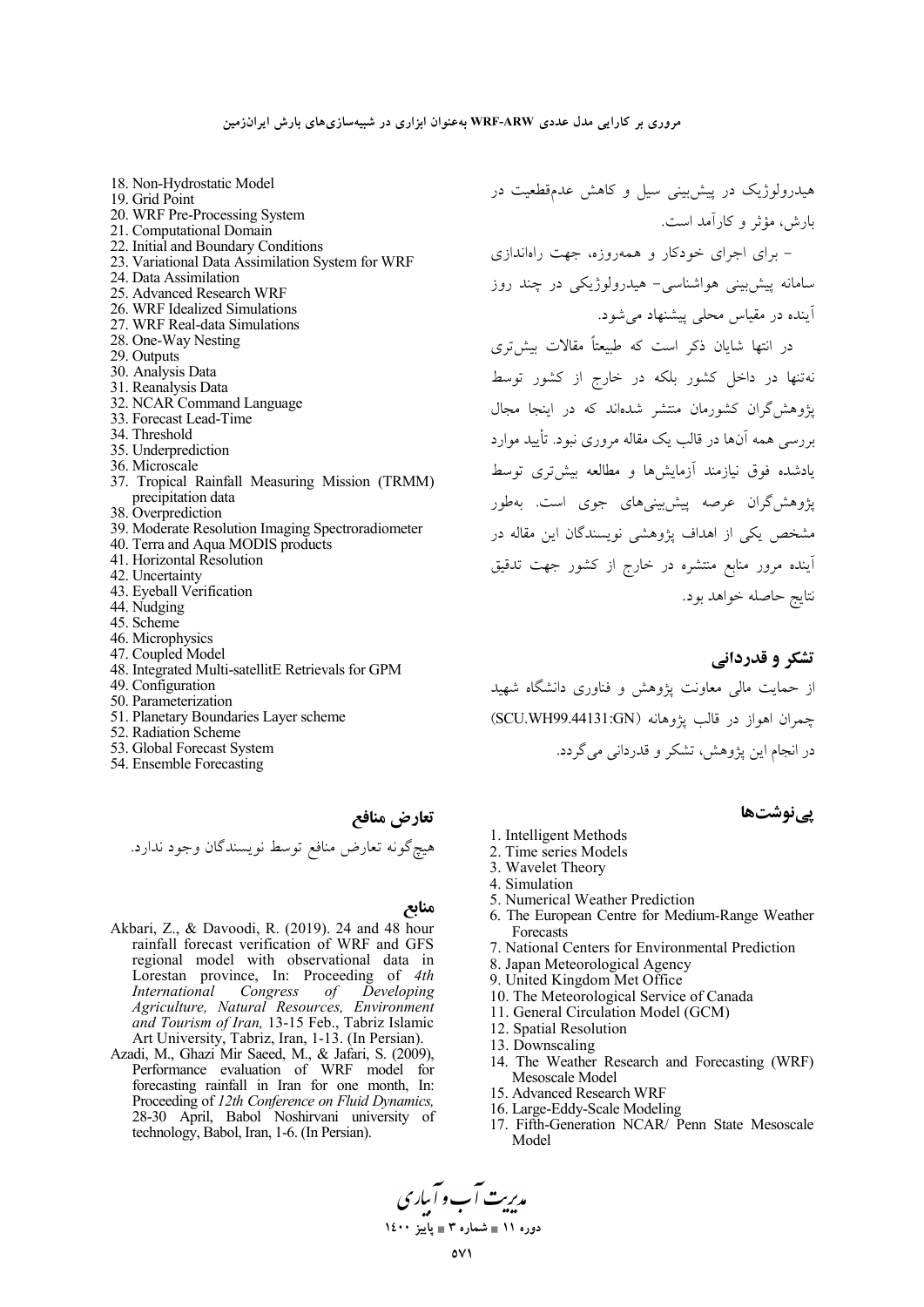- 18. Non-Hydrostatic Model 19. Grid Point 20. WRF Pre-Processing System 21. Computational Domain 22. Initial and Boundary Conditions 23. Variational Data Assimilation System for WRF 24. Data Assimilation 25. Advanced Research WRF 26. WRF Idealized Simulations 27. WRF Real-data Simulations 28. One-Way Nesting 29. Outputs 30. Analysis Data 31. Reanalysis Data 32. NCAR Command Language 33. Forecast Lead-Time 34. Threshold 35. Underprediction 36. Microscale 37. Tropical Rainfall Measuring Mission (TRMM) precipitation data 38. Overprediction 39. Moderate Resolution Imaging Spectroradiometer 40. Terra and Aqua MODIS products 41. Horizontal Resolution 42. Uncertainty 43. Eyeball Verification 44. Nudging 45. Scheme 46. Microphysics 47. Coupled Model 48. Integrated Multi-satellitE Retrievals for GPM 49. Configuration 50. Parameterization
- 51. Planetary Boundaries Layer scheme
- 52. Radiation Scheme
- 53. Global Forecast System
- 54. Ensemble Forecasting

تعارض منافع هيچگونه تعارض منافع توسط نويسندگان وجود ندارد.

#### منابع

- Akbari, Z., & Davoodi, R. (2019). 24 and 48 hour rainfall forecast verification of WRF and GFS regional model with observational data in Lorestan province, In: Proceeding of 4th Developing International Congress  $of$ Agriculture, Natural Resources, Environment and Tourism of Iran, 13-15 Feb., Tabriz Islamic Art University, Tabriz, Iran, 1-13. (In Persian).
- Azadi, M., Ghazi Mir Saeed, M., & Jafari, S. (2009), Performance evaluation of WRF model for forecasting rainfall in Iran for one month, In: Proceeding of 12th Conference on Fluid Dynamics, 28-30 April, Babol Noshirvani university of technology, Babol, Iran, 1-6. (In Persian).

هیدرولوژیک در پیش بینی سیل و کاهش عدمقطعیت در بارش، مؤثر و كارآمد است.

- برای اجرای خودکار و همهروزه، جهت راهاندازی سامانه پیش بینی هواشناسی- هیدرولوژیکی در چند روز آینده در مقیاس محلی پیشنهاد می شود.

در انتها شایان ذکر است که طبیعتاً مقالات بیش تری .<br>نهتنها در داخل کشور بلکه در خارج از کشور توسط یژوهش گران کشورمان منتشر شدهاند که در اینجا مجال بررسی همه آنها در قالب یک مقاله مروری نبود. تأیید موارد یادشده فوق نیازمند آزمایش ها و مطالعه بیش تری توسط یژوهش گران عرصه پیش بینی های جوی است. بهطور مشخص یکی از اهداف پژوهشی نویسندگان این مقاله در آینده مرور منابع منتشره در خارج از کشور جهت تدقیق نتايج حاصله خواهد بود.

### تشکر و قدردانی

از حمایت مالی معاونت پژوهش و فناوری دانشگاه شهید جمهران اهواز در قالب يژوهانه (SCU.WH99.44131:GN) در انجام اين پژوهش، تشكر و قدرداني مي گردد.

# یےنوشتھا

- 1. Intelligent Methods
- 2. Time series Models
- 3. Wavelet Theory
- 4. Simulation
- 5. Numerical Weather Prediction
- 6. The European Centre for Medium-Range Weather Forecasts
- 7. National Centers for Environmental Prediction
- 8. Japan Meteorological Agency
- 9. United Kingdom Met Office
- 10. The Meteorological Service of Canada
- 11. General Circulation Model (GCM)
- 12. Spatial Resolution
- 13. Downscaling
- 14. The Weather Research and Forecasting (WRF) Mesoscale Model
- 15. Advanced Research WRF
- 16. Large-Eddy-Scale Modeling
- 17. Fifth-Generation NCAR/ Penn State Mesoscale Model

مدیریت آب و آباری دوره ۱۱ ∎ شماره ۳ ∎ یاییز ۱٤۰۰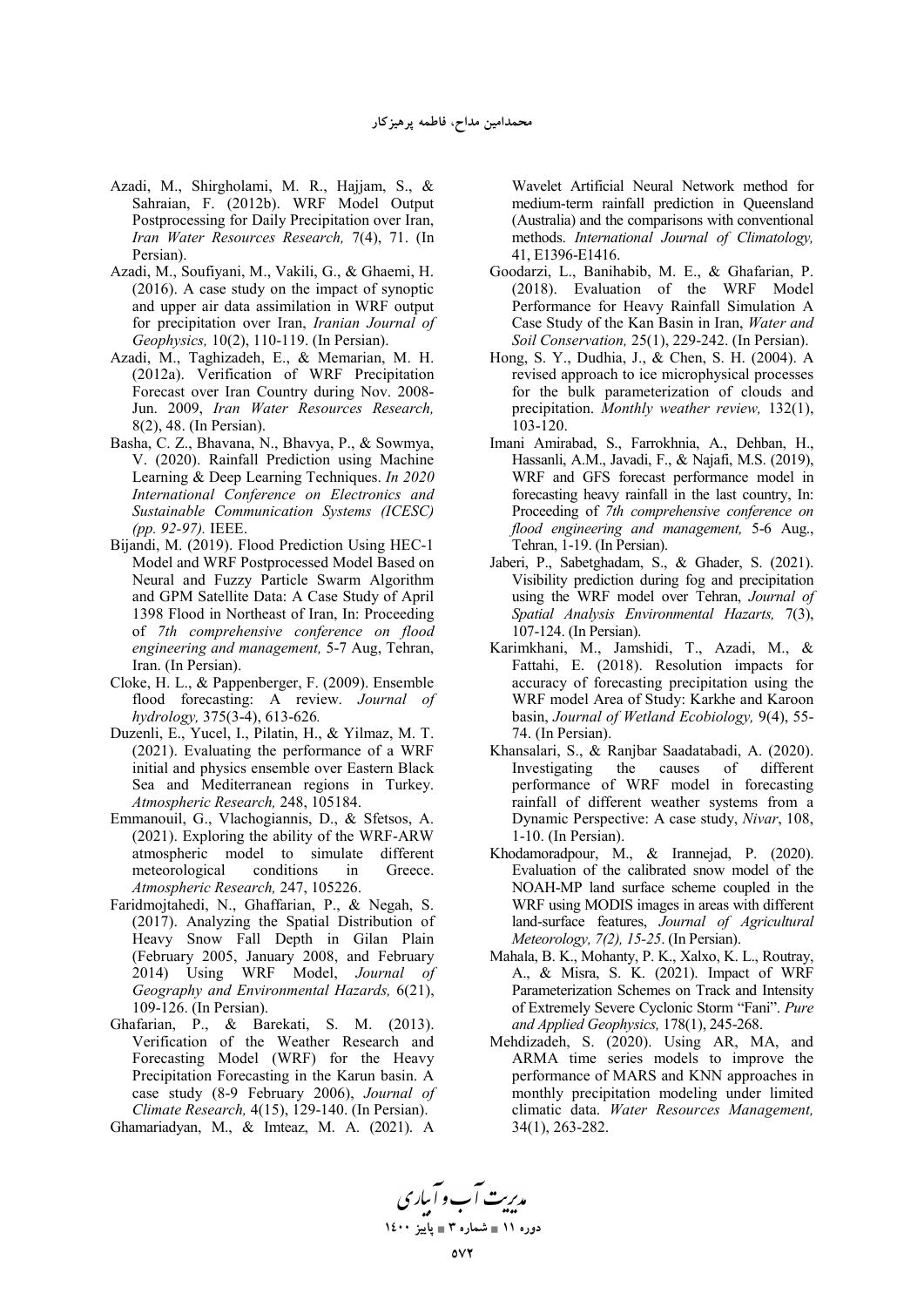- Azadi, M., Shirgholami, M. R., Hajjam, S., & Sahraian, F. (2012b). WRF Model Output Postprocessing for Daily Precipitation over Iran, *Iran Water Resources Research,* 7(4), 71. (In Persian).
- Azadi, M., Soufiyani, M., Vakili, G., & Ghaemi, H. (2016). A case study on the impact of synoptic and upper air data assimilation in WRF output for precipitation over Iran, *Iranian Journal of Geophysics,* 10(2), 110-119. (In Persian).
- Azadi, M., Taghizadeh, E., & Memarian, M. H. (2012a). Verification of WRF Precipitation Forecast over Iran Country during Nov. 2008- Jun. 2009, *Iran Water Resources Research,*  8(2), 48. (In Persian).
- Basha, C. Z., Bhavana, N., Bhavya, P., & Sowmya, V. (2020). Rainfall Prediction using Machine Learning & Deep Learning Techniques. *In 2020 International Conference on Electronics and Sustainable Communication Systems (ICESC) (pp. 92-97).* IEEE.
- Bijandi, M. (2019). Flood Prediction Using HEC-1 Model and WRF Postprocessed Model Based on Neural and Fuzzy Particle Swarm Algorithm and GPM Satellite Data: A Case Study of April 1398 Flood in Northeast of Iran, In: Proceeding of *7th comprehensive conference on flood engineering and management,* 5-7 Aug, Tehran, Iran. (In Persian).
- Cloke, H. L., & Pappenberger, F. (2009). Ensemble flood forecasting: A review. *Journal of hydrology,* 375(3-4), 613-626*.*
- Duzenli, E., Yucel, I., Pilatin, H., & Yilmaz, M. T. (2021). Evaluating the performance of a WRF initial and physics ensemble over Eastern Black Sea and Mediterranean regions in Turkey. *Atmospheric Research,* 248, 105184.
- Emmanouil, G., Vlachogiannis, D., & Sfetsos, A. (2021). Exploring the ability of the WRF-ARW atmospheric model to simulate different meteorological conditions in Greece. *Atmospheric Research,* 247, 105226.
- Faridmojtahedi, N., Ghaffarian, P., & Negah, S. (2017). Analyzing the Spatial Distribution of Heavy Snow Fall Depth in Gilan Plain (February 2005, January 2008, and February 2014) Using WRF Model, *Journal of Geography and Environmental Hazards,* 6(21), 109-126. (In Persian).
- Ghafarian, P., & Barekati, S. M. (2013). Verification of the Weather Research and Forecasting Model (WRF) for the Heavy Precipitation Forecasting in the Karun basin. A case study (8-9 February 2006), *Journal of Climate Research,* 4(15), 129-140. (In Persian).
- Ghamariadyan, M., & Imteaz, M. A. (2021). A

Wavelet Artificial Neural Network method for medium‐term rainfall prediction in Queensland (Australia) and the comparisons with conventional methods. *International Journal of Climatology,*  41, E1396-E1416.

- Goodarzi, L., Banihabib, M. E., & Ghafarian, P. (2018). Evaluation of the WRF Model Performance for Heavy Rainfall Simulation A Case Study of the Kan Basin in Iran, *Water and Soil Conservation,* 25(1), 229-242. (In Persian).
- Hong, S. Y., Dudhia, J., & Chen, S. H. (2004). A revised approach to ice microphysical processes for the bulk parameterization of clouds and precipitation. *Monthly weather review,* 132(1), 103-120.
- Imani Amirabad, S., Farrokhnia, A., Dehban, H., Hassanli, A.M., Javadi, F., & Najafi, M.S. (2019), WRF and GFS forecast performance model in forecasting heavy rainfall in the last country, In: Proceeding of *7th comprehensive conference on flood engineering and management,* 5-6 Aug., Tehran, 1-19. (In Persian).
- Jaberi, P., Sabetghadam, S., & Ghader, S. (2021). Visibility prediction during fog and precipitation using the WRF model over Tehran, *Journal of Spatial Analysis Environmental Hazarts,* 7(3), 107-124. (In Persian).
- Karimkhani, M., Jamshidi, T., Azadi, M., & Fattahi, E. (2018). Resolution impacts for accuracy of forecasting precipitation using the WRF model Area of Study: Karkhe and Karoon basin, *Journal of Wetland Ecobiology,* 9(4), 55- 74. (In Persian).
- Khansalari, S., & Ranjbar Saadatabadi, A. (2020). Investigating the causes of different performance of WRF model in forecasting rainfall of different weather systems from a Dynamic Perspective: A case study, *Nivar*, 108, 1-10. (In Persian).
- Khodamoradpour, M., & Irannejad, P. (2020). Evaluation of the calibrated snow model of the NOAH-MP land surface scheme coupled in the WRF using MODIS images in areas with different land-surface features, *Journal of Agricultural Meteorology, 7(2), 15-25*. (In Persian).
- Mahala, B. K., Mohanty, P. K., Xalxo, K. L., Routray, A., & Misra, S. K. (2021). Impact of WRF Parameterization Schemes on Track and Intensity of Extremely Severe Cyclonic Storm "Fani". *Pure and Applied Geophysics,* 178(1), 245-268.
- Mehdizadeh, S. (2020). Using AR, MA, and ARMA time series models to improve the performance of MARS and KNN approaches in monthly precipitation modeling under limited climatic data. *Water Resources Management,*  34(1), 263-282.

م*دیت آب و آبادی*<br>میت **1400 - 3 
 11**